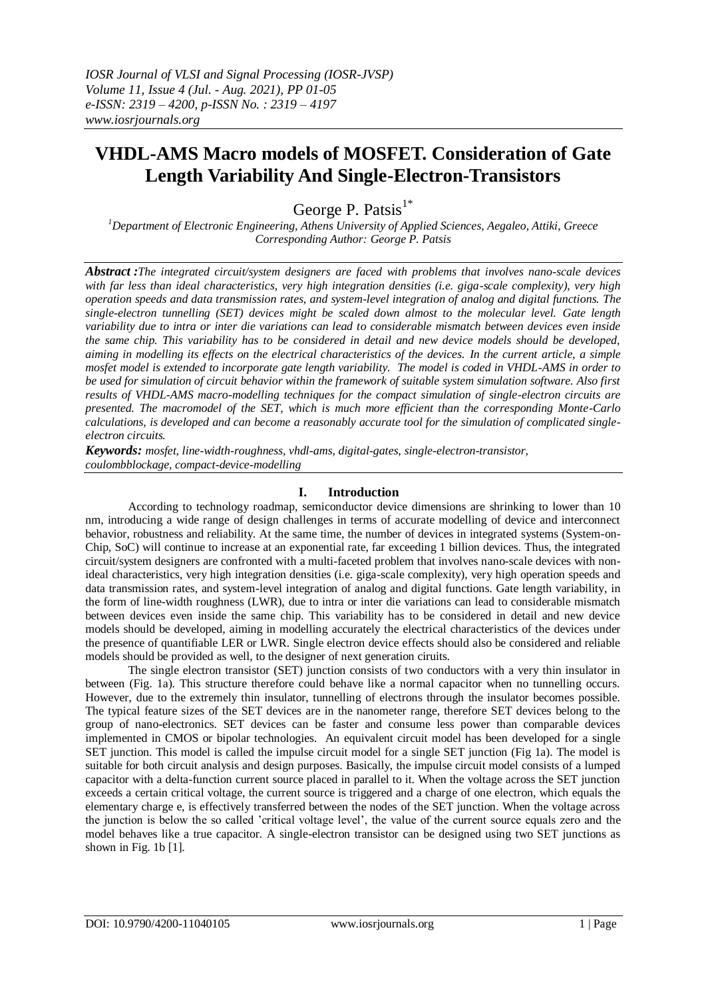# **VHDL-AMS Macro models of MOSFET. Consideration of Gate Length Variability And Single-Electron-Transistors**

George P. Patsis $1^*$ 

*<sup>1</sup>Department of Electronic Engineering, Athens University of Applied Sciences, Aegaleo, Attiki, Greece Corresponding Author: George P. Patsis*

*Abstract :The integrated circuit/system designers are faced with problems that involves nano-scale devices with far less than ideal characteristics, very high integration densities (i.e. giga-scale complexity), very high operation speeds and data transmission rates, and system-level integration of analog and digital functions. The single-electron tunnelling (SET) devices might be scaled down almost to the molecular level. Gate length variability due to intra or inter die variations can lead to considerable mismatch between devices even inside the same chip. This variability has to be considered in detail and new device models should be developed, aiming in modelling its effects on the electrical characteristics of the devices. In the current article, a simple mosfet model is extended to incorporate gate length variability. The model is coded in VHDL-AMS in order to be used for simulation of circuit behavior within the framework of suitable system simulation software. Also first results of VHDL-AMS macro-modelling techniques for the compact simulation of single-electron circuits are presented. The macromodel of the SET, which is much more efficient than the corresponding Monte-Carlo calculations, is developed and can become a reasonably accurate tool for the simulation of complicated singleelectron circuits.*

*Keywords: mosfet, line-width-roughness, vhdl-ams, digital-gates, single-electron-transistor, coulombblockage, compact-device-modelling*

## **I. Introduction**

According to technology roadmap, semiconductor device dimensions are shrinking to lower than 10 nm, introducing a wide range of design challenges in terms of accurate modelling of device and interconnect behavior, robustness and reliability. At the same time, the number of devices in integrated systems (System-on-Chip, SoC) will continue to increase at an exponential rate, far exceeding 1 billion devices. Thus, the integrated circuit/system designers are confronted with a multi-faceted problem that involves nano-scale devices with nonideal characteristics, very high integration densities (i.e. giga-scale complexity), very high operation speeds and data transmission rates, and system-level integration of analog and digital functions. Gate length variability, in the form of line-width roughness (LWR), due to intra or inter die variations can lead to considerable mismatch between devices even inside the same chip. This variability has to be considered in detail and new device models should be developed, aiming in modelling accurately the electrical characteristics of the devices under the presence of quantifiable LER or LWR. Single electron device effects should also be considered and reliable models should be provided as well, to the designer of next generation ciruits.

The single electron transistor (SET) junction consists of two conductors with a very thin insulator in between (Fig. 1a). This structure therefore could behave like a normal capacitor when no tunnelling occurs. However, due to the extremely thin insulator, tunnelling of electrons through the insulator becomes possible. The typical feature sizes of the SET devices are in the nanometer range, therefore SET devices belong to the group of nano-electronics. SET devices can be faster and consume less power than comparable devices implemented in CMOS or bipolar technologies. An equivalent circuit model has been developed for a single SET junction. This model is called the impulse circuit model for a single SET junction (Fig 1a). The model is suitable for both circuit analysis and design purposes. Basically, the impulse circuit model consists of a lumped capacitor with a delta-function current source placed in parallel to it. When the voltage across the SET junction exceeds a certain critical voltage, the current source is triggered and a charge of one electron, which equals the elementary charge e, is effectively transferred between the nodes of the SET junction. When the voltage across the junction is below the so called 'critical voltage level', the value of the current source equals zero and the model behaves like a true capacitor. A single-electron transistor can be designed using two SET junctions as shown in Fig. 1b [1].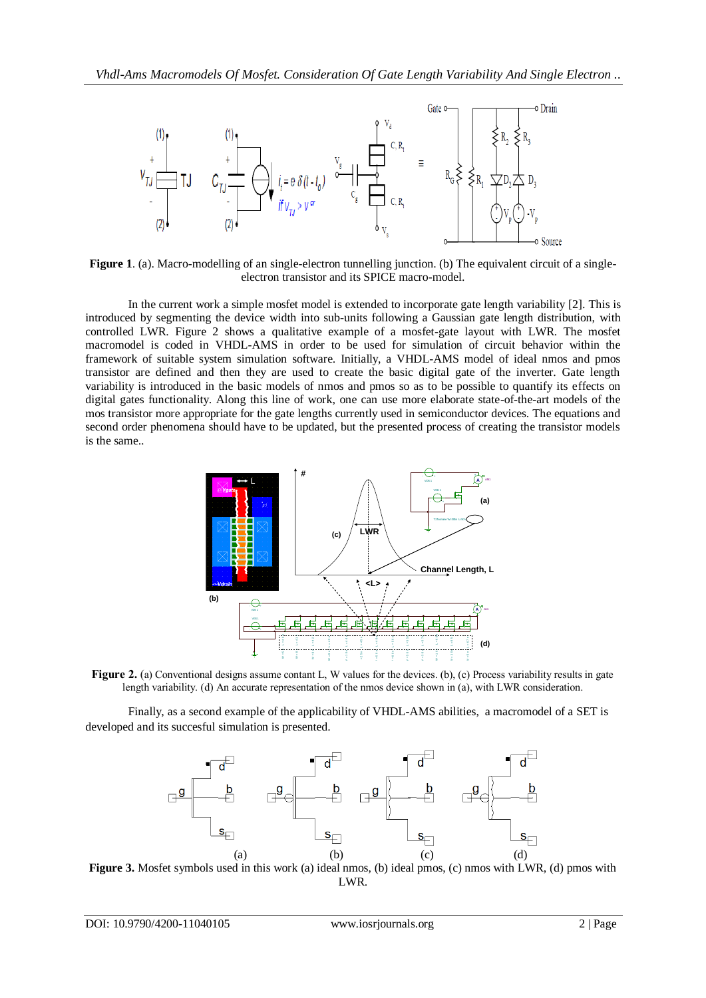

**Figure 1**. (a). Macro-modelling of an single-electron tunnelling junction. (b) The equivalent circuit of a singleelectron transistor and its SPICE macro-model.

In the current work a simple mosfet model is extended to incorporate gate length variability [2]. This is introduced by segmenting the device width into sub-units following a Gaussian gate length distribution, with controlled LWR. Figure 2 shows a qualitative example of a mosfet-gate layout with LWR. The mosfet macromodel is coded in VHDL-AMS in order to be used for simulation of circuit behavior within the framework of suitable system simulation software. Initially, a VHDL-AMS model of ideal nmos and pmos transistor are defined and then they are used to create the basic digital gate of the inverter. Gate length variability is introduced in the basic models of nmos and pmos so as to be possible to quantify its effects on digital gates functionality. Along this line of work, one can use more elaborate state-of-the-art models of the mos transistor more appropriate for the gate lengths currently used in semiconductor devices. The equations and second order phenomena should have to be updated, but the presented process of creating the transistor models is the same..



length variability. (d) An accurate representation of the nmos device shown in (a), with LWR consideration.

Finally, as a second example of the applicability of VHDL-AMS abilities, a macromodel of a SET is developed and its succesful simulation is presented.



**Figure 3.** Mosfet symbols used in this work (a) ideal nmos, (b) ideal pmos, (c) nmos with LWR, (d) pmos with LWR.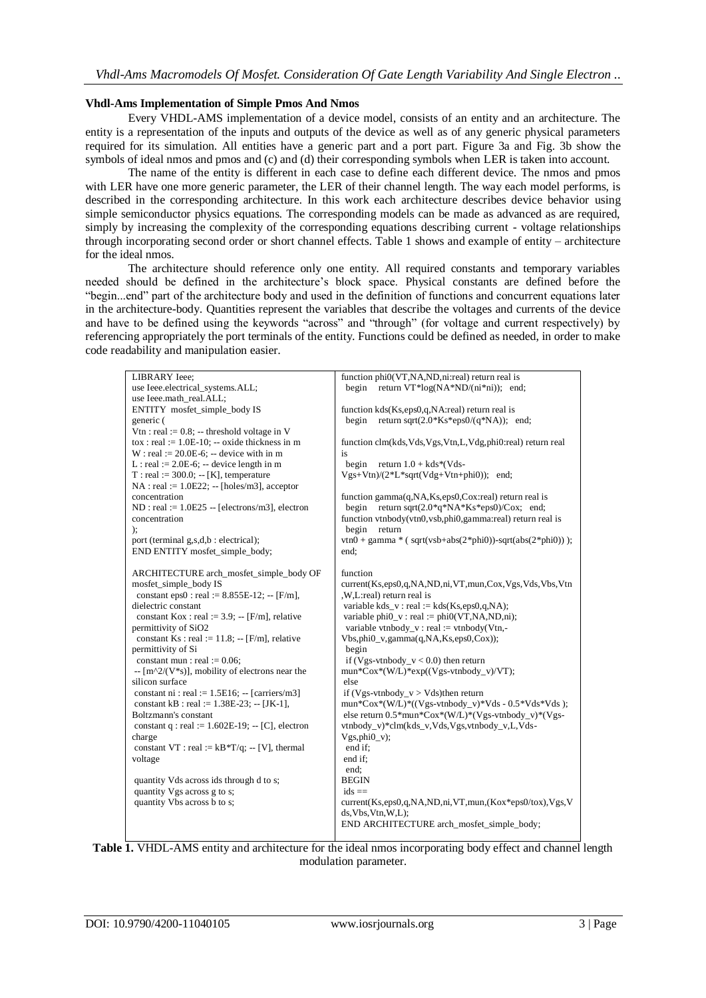### **Vhdl-Ams Implementation of Simple Pmos And Nmos**

Every VHDL-AMS implementation of a device model, consists of an entity and an architecture. The entity is a representation of the inputs and outputs of the device as well as of any generic physical parameters required for its simulation. All entities have a generic part and a port part. Figure 3a and Fig. 3b show the symbols of ideal nmos and pmos and (c) and (d) their corresponding symbols when LER is taken into account.

The name of the entity is different in each case to define each different device. The nmos and pmos with LER have one more generic parameter, the LER of their channel length. The way each model performs, is described in the corresponding architecture. In this work each architecture describes device behavior using simple semiconductor physics equations. The corresponding models can be made as advanced as are required, simply by increasing the complexity of the corresponding equations describing current - voltage relationships through incorporating second order or short channel effects. Table 1 shows and example of entity – architecture for the ideal nmos.

The architecture should reference only one entity. All required constants and temporary variables needed should be defined in the architecture's block space. Physical constants are defined before the "begin...end" part of the architecture body and used in the definition of functions and concurrent equations later in the architecture-body. Quantities represent the variables that describe the voltages and currents of the device and have to be defined using the keywords "across" and "through" (for voltage and current respectively) by referencing appropriately the port terminals of the entity. Functions could be defined as needed, in order to make code readability and manipulation easier.

| LIBRARY Ieee;                                                          | function phi0(VT,NA,ND,ni:real) return real is                      |
|------------------------------------------------------------------------|---------------------------------------------------------------------|
| use Ieee.electrical_systems.ALL;                                       | return VT*log(NA*ND/(ni*ni)); end;<br>begin                         |
| use Ieee.math_real.ALL;                                                |                                                                     |
| ENTITY mosfet_simple_body IS                                           | function kds(Ks,eps0,q,NA:real) return real is                      |
| generic (                                                              | return sqrt $(2.0*Ks*eps0/(q*NA))$ ; end;<br>begin                  |
| Vtn : real := $0.8$ ; -- threshold voltage in V                        |                                                                     |
| $\text{to } x : \text{real} := 1.0E-10; -\text{oxide thickness in } m$ | function clm(kds, Vds, Vgs, Vtn, L, Vdg, phi0:real) return real     |
| $W:$ real := 20.0E-6; -- device with in m                              | is                                                                  |
| L: real := $2.0E-6$ ; -- device length in m                            | return $1.0 + kds*(Vds -$<br>begin                                  |
| $T: real := 300.0; -[K]$ , temperature                                 | $Vgs+Vtn)/(2*L*sqrt(Vdg+Vtn+phi0));$ end;                           |
| $NA$ : real := 1.0E22; -- [holes/m3], acceptor                         |                                                                     |
| concentration                                                          | function gamma(q,NA,Ks,eps0,Cox:real) return real is                |
| $ND : real := 1.0E25 - [electrons/m3]$ , electron                      | return sqrt $(2.0*q*NA*Ks*eps0)/Cox$ ; end;<br>begin                |
| concentration                                                          | function vtnbody(vtn0, vsb, phi0, gamma: real) return real is       |
| );                                                                     | begin<br>return                                                     |
| port (terminal g,s,d,b : electrical);                                  | $vtn0 + gamma * (sqrt(vsb+abs(2*pini0)) - sqrt(abs(2*pini0)));$     |
| END ENTITY mosfet_simple_body;                                         | end:                                                                |
|                                                                        |                                                                     |
| ARCHITECTURE arch_mosfet_simple_body OF                                | function                                                            |
| mosfet_simple_body IS                                                  | current(Ks,eps0,q,NA,ND,ni,VT,mun,Cox,Vgs,Vds,Vbs,Vtn               |
| constant eps0 : real := $8.855E-12$ ; -- [F/m],                        | ,W,L:real) return real is                                           |
| dielectric constant                                                    | variable kds_v: real := kds(Ks,eps0,q,NA);                          |
| constant Kox : real := $3.9$ ; -- [F/m], relative                      | variable phi $0_v$ : real := phi $0(VT, NA, ND, ni)$ ;              |
| permittivity of SiO2                                                   | variable vtnbody_v : real := vtnbody(Vtn,-                          |
| constant Ks : real := $11.8$ ; -- [F/m], relative                      | $Vbs,phi0_v,gamma(q,NA,Ks,eps0,Cox);$                               |
| permittivity of Si                                                     | begin                                                               |
| constant mun : real := $0.06$ ;                                        | if (Vgs-vtnbody_v < 0.0) then return                                |
| $-$ [m^2/(V*s)], mobility of electrons near the                        | $mun*Cox*(W/L)*exp((Vgs-vtnbody_v)/VT);$                            |
| silicon surface                                                        | else                                                                |
| constant ni : real := $1.5E16$ ; -- [carriers/m3]                      | if (Vgs-vtnbody $v > V$ ds)then return                              |
| constant kB : real := $1.38E-23$ ; -- [JK-1],                          | mun*Cox*(W/L)*((Vgs-vtnbody_v)*Vds - 0.5*Vds*Vds);                  |
| Boltzmann's constant                                                   | else return $0.5*$ mun* $\text{Cox}^*(W/L)*(Vgs-vtnbody_v)*(Vgs-v)$ |
| constant q : real := $1.602E-19$ ; -- [C], electron                    | vtnbody v)*clm(kds v,Vds,Vgs,vtnbody v,L,Vds-                       |
| charge                                                                 | $Vgs,phi_0_v$ ;                                                     |
| constant VT : real := $kB*T/q$ ; -- [V], thermal                       | end if:                                                             |
| voltage                                                                | end if:                                                             |
|                                                                        | end:                                                                |
| quantity Vds across ids through d to s;                                | <b>BEGIN</b>                                                        |
| quantity Vgs across g to s;                                            | $ids ==$                                                            |
| quantity Vbs across b to s;                                            | current(Ks,eps0,q,NA,ND,ni,VT,mun,(Kox*eps0/tox),Vgs,V              |
|                                                                        | ds, Vbs, Vtn, W, L);                                                |
|                                                                        | END ARCHITECTURE arch_mosfet_simple_body;                           |

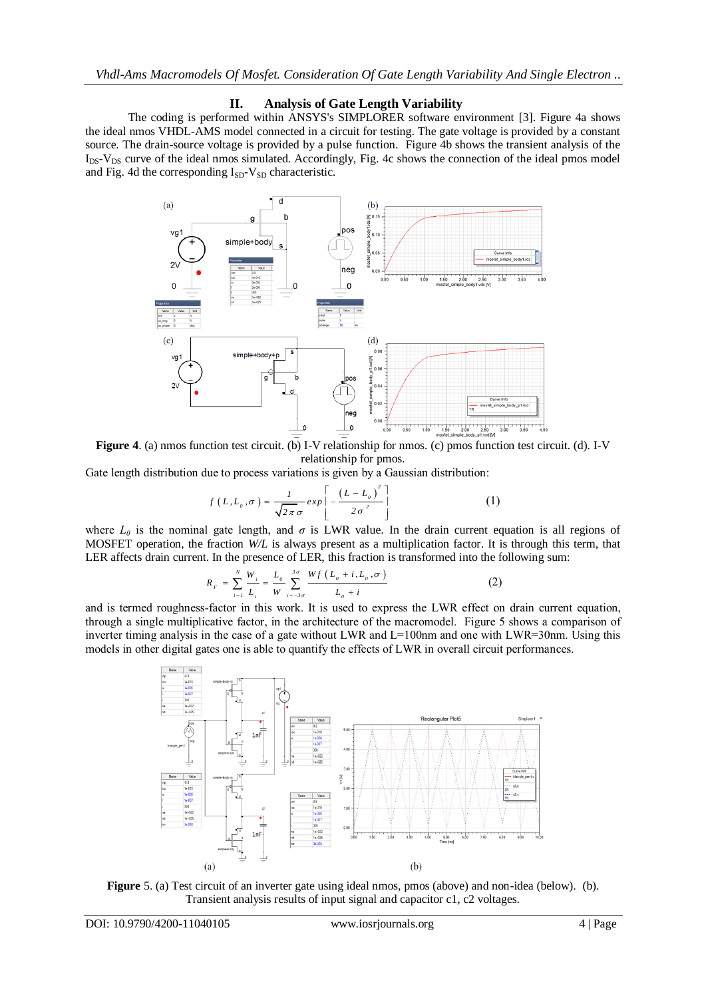## **II. Analysis of Gate Length Variability**

The coding is performed within ANSYS's SIMPLORER software environment [3]. Figure 4a shows the ideal nmos VHDL-AMS model connected in a circuit for testing. The gate voltage is provided by a constant source. The drain-source voltage is provided by a pulse function. Figure 4b shows the transient analysis of the  $I_{DS}$ - $V_{DS}$  curve of the ideal nmos simulated. Accordingly, Fig. 4c shows the connection of the ideal pmos model and Fig. 4d the corresponding  $I_{SD}$ - $V_{SD}$  characteristic.



**Figure 4**. (a) nmos function test circuit. (b) I-V relationship for nmos. (c) pmos function test circuit. (d). I-V relationship for pmos.

Gate length distribution due to process variations is given by a Gaussian distribution:

$$
f\left(L, L_o, \sigma\right) = \frac{1}{\sqrt{2\pi}\sigma} exp\left[-\frac{\left(L - L_o\right)^2}{2\sigma^2}\right]
$$
 (1)

where  $L_0$  is the nominal gate length, and  $\sigma$  is LWR value. In the drain current equation is all regions of MOSFET operation, the fraction *W/L* is always present as a multiplication factor. It is through this term, that LER affects drain current. In the presence of LER, this fraction is transformed into the following sum:

$$
R_{F} = \sum_{i=1}^{N} \frac{W_{i}}{L_{i}} = \frac{L_{o}}{W} \sum_{i=-3\sigma}^{3\sigma} \frac{Wf(L_{o} + i, L_{o}, \sigma)}{L_{o} + i}
$$
(2)

and is termed roughness-factor in this work. It is used to express the LWR effect on drain current equation, through a single multiplicative factor, in the architecture of the macromodel. Figure 5 shows a comparison of inverter timing analysis in the case of a gate without LWR and  $L=100$ nm and one with LWR=30nm. Using this models in other digital gates one is able to quantify the effects of LWR in overall circuit performances.



**Figure** 5. (a) Test circuit of an inverter gate using ideal nmos, pmos (above) and non-idea (below). (b). Transient analysis results of input signal and capacitor c1, c2 voltages.